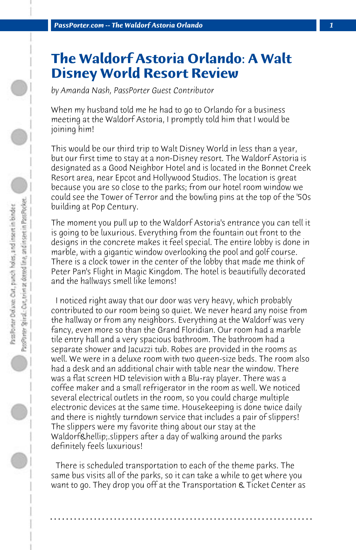## **The Waldorf Astoria Orlando: A Walt Disney World Resort Review**

*by Amanda Nash, PassPorter Guest Contributor*

When my husband told me he had to go to Orlando for a business meeting at the Waldorf Astoria, I promptly told him that I would be joining him!

This would be our third trip to Walt Disney World in less than a year, but our first time to stay at a non-Disney resort. The Waldorf Astoria is designated as a Good Neighbor Hotel and is located in the Bonnet Creek Resort area, near Epcot and Hollywood Studios. The location is great because you are so close to the parks; from our hotel room window we could see the Tower of Terror and the bowling pins at the top of the '50s building at Pop Century.

The moment you pull up to the Waldorf Astoria's entrance you can tell it is going to be luxurious. Everything from the fountain out front to the designs in the concrete makes it feel special. The entire lobby is done in marble, with a gigantic window overlooking the pool and golf course. There is a clock tower in the center of the lobby that made me think of Peter Pan's Flight in Magic Kingdom. The hotel is beautifully decorated and the hallways smell like lemons!

 I noticed right away that our door was very heavy, which probably contributed to our room being so quiet. We never heard any noise from the hallway or from any neighbors. Everything at the Waldorf was very fancy, even more so than the Grand Floridian. Our room had a marble tile entry hall and a very spacious bathroom. The bathroom had a separate shower and Jacuzzi tub. Robes are provided in the rooms as well. We were in a deluxe room with two queen-size beds. The room also had a desk and an additional chair with table near the window. There was a flat screen HD television with a Blu-ray player. There was a coffee maker and a small refrigerator in the room as well. We noticed several electrical outlets in the room, so you could charge multiple electronic devices at the same time. Housekeeping is done twice daily and there is nightly turndown service that includes a pair of slippers! The slippers were my favorite thing about our stay at the Waldorf… slippers after a day of walking around the parks definitely feels luxurious!

 There is scheduled transportation to each of the theme parks. The same bus visits all of the parks, so it can take a while to get where you want to go. They drop you off at the Transportation & Ticket Center as

**. . . . . . . . . . . . . . . . . . . . . . . . . . . . . . . . . . . . . . . . . . . . . . . . . . . . . . . . . . . . . . . . . .**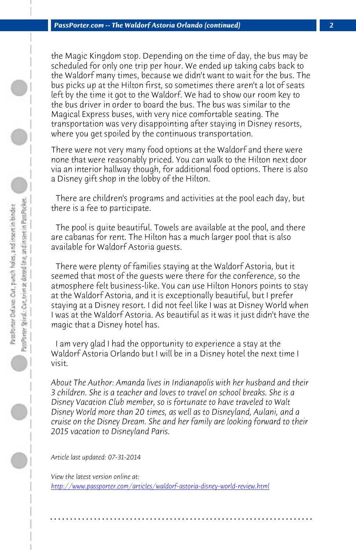*PassPorter.com -- The Waldorf Astoria Orlando (continued) 2*

the Magic Kingdom stop. Depending on the time of day, the bus may be scheduled for only one trip per hour. We ended up taking cabs back to the Waldorf many times, because we didn't want to wait for the bus. The bus picks up at the Hilton first, so sometimes there aren't a lot of seats left by the time it got to the Waldorf. We had to show our room key to the bus driver in order to board the bus. The bus was similar to the Magical Express buses, with very nice comfortable seating. The transportation was very disappointing after staying in Disney resorts, where you get spoiled by the continuous transportation.

There were not very many food options at the Waldorf and there were none that were reasonably priced. You can walk to the Hilton next door via an interior hallway though, for additional food options. There is also a Disney gift shop in the lobby of the Hilton.

 There are children's programs and activities at the pool each day, but there is a fee to participate.

 The pool is quite beautiful. Towels are available at the pool, and there are cabanas for rent. The Hilton has a much larger pool that is also available for Waldorf Astoria guests.

 There were plenty of families staying at the Waldorf Astoria, but it seemed that most of the guests were there for the conference, so the atmosphere felt business-like. You can use Hilton Honors points to stay at the Waldorf Astoria, and it is exceptionally beautiful, but I prefer staying at a Disney resort. I did not feel like I was at Disney World when I was at the Waldorf Astoria. As beautiful as it was it just didn't have the [magic that a Disney hotel has.](http://www.passporter.com/articles/waldorf-astoria-disney-world-review.php)

 I am very glad I had the opportunity to experience a stay at the Waldorf Astoria Orlando but I will be in a Disney hotel the next time I visit.

*About The Author: Amanda lives in Indianapolis with her husband and their 3 children. She is a teacher and loves to travel on school breaks. She is a Disney Vacation Club member, so is fortunate to have traveled to Walt Disney World more than 20 times, as well as to Disneyland, Aulani, and a cruise on the Disney Dream. She and her family are looking forward to their 2015 vacation to Disneyland Paris.*

**. . . . . . . . . . . . . . . . . . . . . . . . . . . . . . . . . . . . . . . . . . . . . . . . . . . . . . . . . . . . . . . . . .**

*Article last updated: 07-31-2014*

*View the latest version online at: http://www.passporter.com/articles/waldorf-astoria-disney-world-review.html*